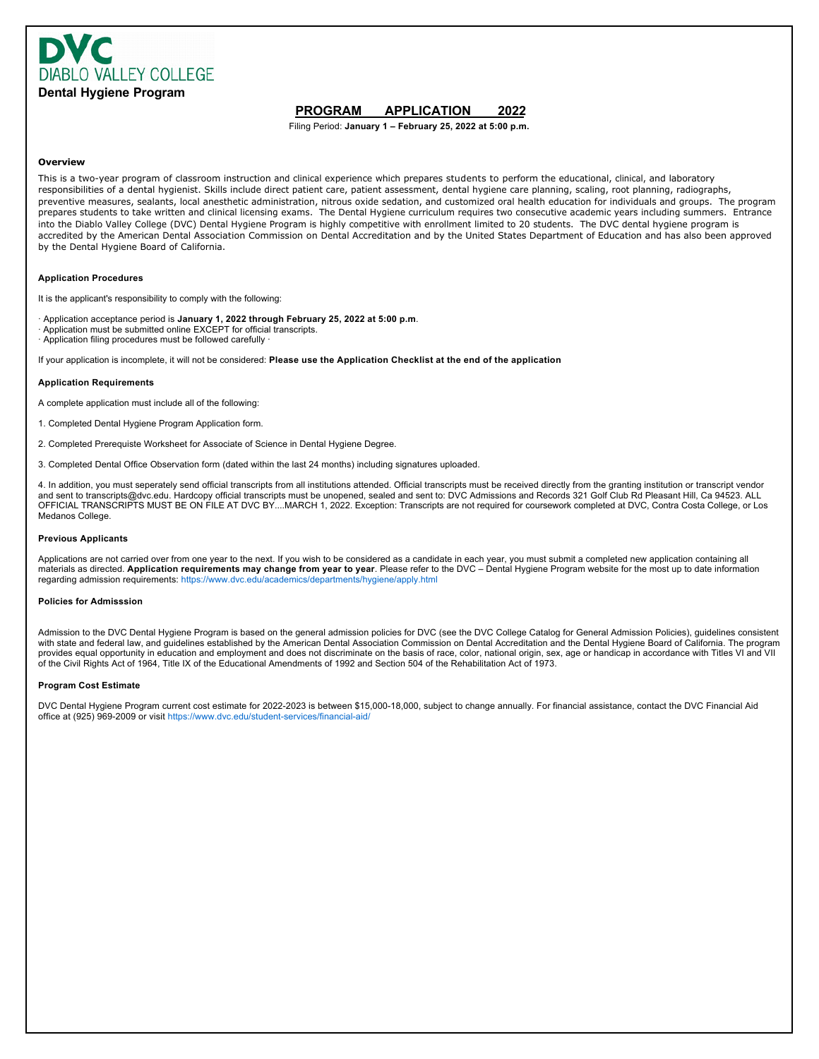

## **PROGRAM APPLICATION 2022**

Filing Period: **January 1 – February 25, 2022 at 5:00 p.m.**

#### **Overview**

This is a two-year program of classroom instruction and clinical experience which prepares students to perform the educational, clinical, and laboratory responsibilities of a dental hygienist. Skills include direct patient care, patient assessment, dental hygiene care planning, scaling, root planning, radiographs, preventive measures, sealants, local anesthetic administration, nitrous oxide sedation, and customized oral health education for individuals and groups. The program prepares students to take written and clinical licensing exams. The Dental Hygiene curriculum requires two consecutive academic years including summers. Entrance into the Diablo Valley College (DVC) Dental Hygiene Program is highly competitive with enrollment limited to 20 students. The DVC dental hygiene program is accredited by the American Dental Association Commission on Dental Accreditation and by the United States Department of Education and has also been approved by the Dental Hygiene Board of California.

#### **Application Procedures**

It is the applicant's responsibility to comply with the following:

· Application acceptance period is **January 1, 2022 through February 25, 2022 at 5:00 p.m**.

- Application must be submitted online EXCEPT for official transcripts.
- Application filing procedures must be followed carefully

If your application is incomplete, it will not be considered: **Please use the Application Checklist at the end of the application**

#### **Application Requirements**

A complete application must include all of the following:

- 1. Completed Dental Hygiene Program Application form.
- 2. Completed Prerequiste Worksheet for Associate of Science in Dental Hygiene Degree.
- 3. Completed Dental Office Observation form (dated within the last 24 months) including signatures uploaded.

4. In addition, you must seperately send official transcripts from all institutions attended. Official transcripts must be received directly from the granting institution or transcript vendor and sent to transcripts@dvc.edu. Hardcopy official transcripts must be unopened, sealed and sent to: DVC Admissions and Records 321 Golf Club Rd Pleasant Hill, Ca 94523. ALL OFFICIAL TRANSCRIPTS MUST BE ON FILE AT DVC BY....MARCH 1, 2022. Exception: Transcripts are not required for coursework completed at DVC, Contra Costa College, or Los Medanos College.

#### **Previous Applicants**

Applications are not carried over from one year to the next. If you wish to be considered as a candidate in each year, you must submit a completed new application containing all materials as directed. **Application requirements may change from year to year**. Please refer to the DVC – Dental Hygiene Program website for the most up to date information regarding admission requirements: https://www.dvc.edu/academics/departments/hygiene/apply.html

#### **Policies for Admisssion**

Admission to the DVC Dental Hygiene Program is based on the general admission policies for DVC (see the DVC College Catalog for General Admission Policies), guidelines consistent with state and federal law, and guidelines established by the American Dental Association Commission on Dental Accreditation and the Dental Hygiene Board of California. The program provides equal opportunity in education and employment and does not discriminate on the basis of race, color, national origin, sex, age or handicap in accordance with Titles VI and VII of the Civil Rights Act of 1964, Title IX of the Educational Amendments of 1992 and Section 504 of the Rehabilitation Act of 1973.

#### **Program Cost Estimate**

DVC Dental Hygiene Program current cost estimate for 2022-2023 is between \$15,000-18,000, subject to change annually. For financial assistance, contact the DVC Financial Aid office at (925) 969-2009 or visit https://www.dvc.edu/student-services/financial-aid/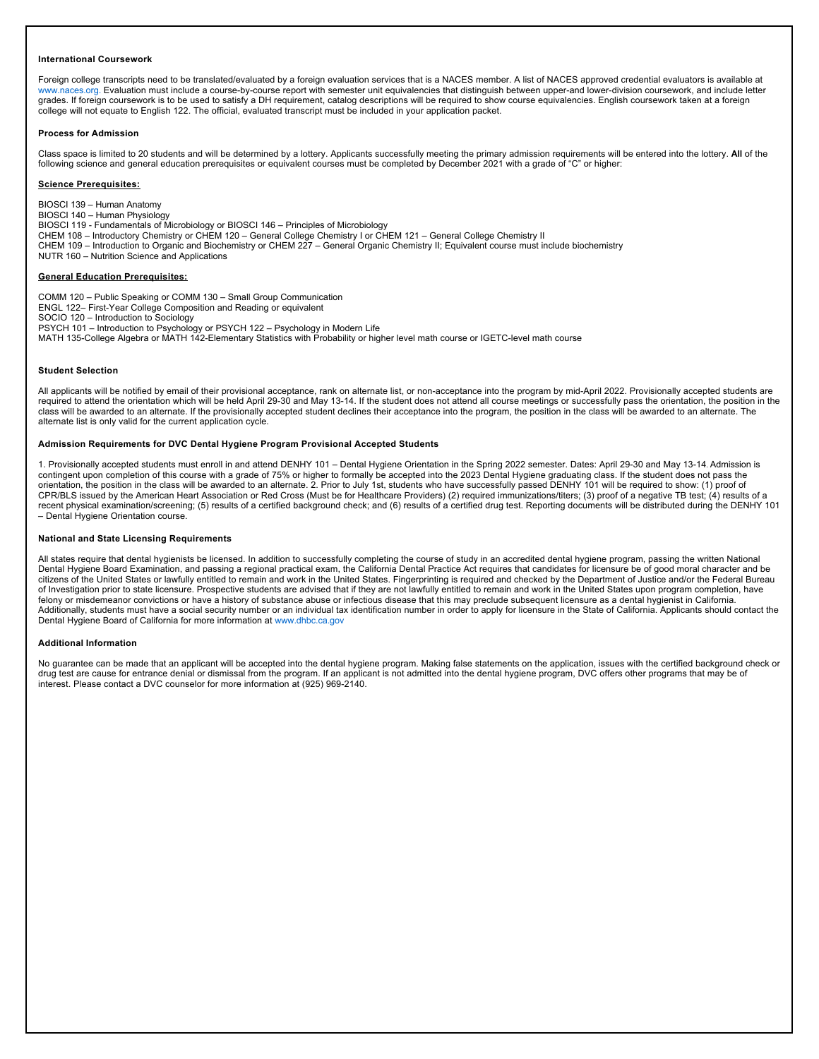#### **International Coursework**

Foreign college transcripts need to be translated/evaluated by a foreign evaluation services that is a NACES member. A list of NACES approved credential evaluators is available at www.naces.org. Evaluation must include a course-by-course report with semester unit equivalencies that distinguish between upper-and lower-division coursework, and include letter grades. If foreign coursework is to be used to satisfy a DH requirement, catalog descriptions will be required to show course equivalencies. English coursework taken at a foreign college will not equate to English 122. The official, evaluated transcript must be included in your application packet.

#### **Process for Admission**

Class space is limited to 20 students and will be determined by a lottery. Applicants successfully meeting the primary admission requirements will be entered into the lottery. **All** of the following science and general education prerequisites or equivalent courses must be completed by December 2021 with a grade of "C" or higher:

#### **Science Prerequisites:**

BIOSCI 139 – Human Anatomy BIOSCI 140 – Human Physiology

BIOSCI 119 - Fundamentals of Microbiology or BIOSCI 146 – Principles of Microbiology

CHEM 108 – Introductory Chemistry or CHEM 120 – General College Chemistry I or CHEM 121 – General College Chemistry II

CHEM 109 – Introduction to Organic and Biochemistry or CHEM 227 – General Organic Chemistry II; Equivalent course must include biochemistry

NUTR 160 – Nutrition Science and Applications

#### **General Education Prerequisites:**

COMM 120 – Public Speaking or COMM 130 – Small Group Communication

ENGL 122– First-Year College Composition and Reading or equivalent

SOCIO 120 – Introduction to Sociology

PSYCH 101 – Introduction to Psychology or PSYCH 122 – Psychology in Modern Life

MATH 135-College Algebra or MATH 142-Elementary Statistics with Probability or higher level math course or IGETC-level math course

#### **Student Selection**

All applicants will be notified by email of their provisional acceptance, rank on alternate list, or non-acceptance into the program by mid-April 2022. Provisionally accepted students are required to attend the orientation which will be held April 29-30 and May 13-14. If the student does not attend all course meetings or successfully pass the orientation, the position in the class will be awarded to an alternate. If the provisionally accepted student declines their acceptance into the program, the position in the class will be awarded to an alternate. The alternate list is only valid for the current application cycle.

#### **Admission Requirements for DVC Dental Hygiene Program Provisional Accepted Students**

1. Provisionally accepted students must enroll in and attend DENHY 101 – Dental Hygiene Orientation in the Spring 2022 semester. Dates: April 29-30 and May 13-14. Admission is contingent upon completion of this course with a grade of 75% or higher to formally be accepted into the 2023 Dental Hygiene graduating class. If the student does not pass the orientation, the position in the class will be awarded to an alternate. 2. Prior to July 1st, students who have successfully passed DENHY 101 will be required to show: (1) proof of CPR/BLS issued by the American Heart Association or Red Cross (Must be for Healthcare Providers) (2) required immunizations/titers; (3) proof of a negative TB test; (4) results of a recent physical examination/screening; (5) results of a certified background check; and (6) results of a certified drug test. Reporting documents will be distributed during the DENHY 101 – Dental Hygiene Orientation course.

#### **National and State Licensing Requirements**

All states require that dental hygienists be licensed. In addition to successfully completing the course of study in an accredited dental hygiene program, passing the written National Dental Hygiene Board Examination, and passing a regional practical exam, the California Dental Practice Act requires that candidates for licensure be of good moral character and be citizens of the United States or lawfully entitled to remain and work in the United States. Fingerprinting is required and checked by the Department of Justice and/or the Federal Bureau of Investigation prior to state licensure. Prospective students are advised that if they are not lawfully entitled to remain and work in the United States upon program completion, have felony or misdemeanor convictions or have a history of substance abuse or infectious disease that this may preclude subsequent licensure as a dental hygienist in California. Additionally, students must have a social security number or an individual tax identification number in order to apply for licensure in the State of California. Applicants should contact the Dental Hygiene Board of California for more information at www.dhbc.ca.gov

#### **Additional Information**

No guarantee can be made that an applicant will be accepted into the dental hygiene program. Making false statements on the application, issues with the certified background check or drug test are cause for entrance denial or dismissal from the program. If an applicant is not admitted into the dental hygiene program, DVC offers other programs that may be of interest. Please contact a DVC counselor for more information at (925) 969-2140.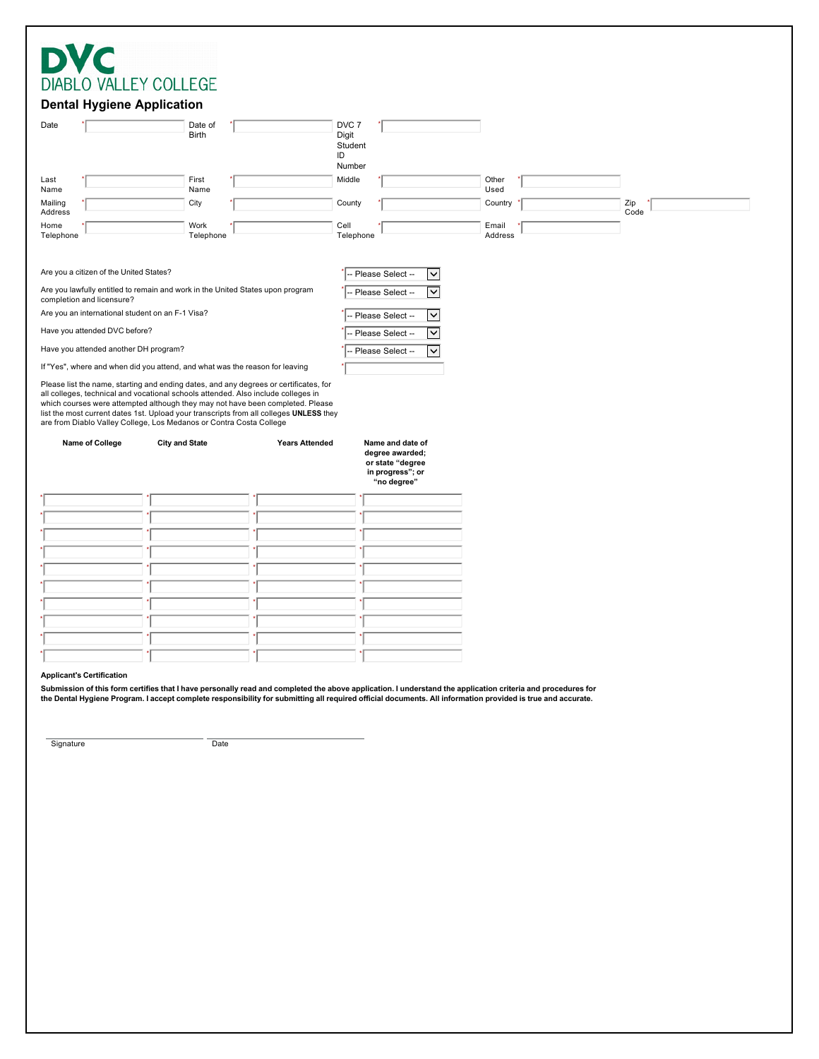| <b>DIABLO VALLEY COLLEGE</b> |
|------------------------------|

## **Dental Hygiene Application**

| Date            | . .                                                                                                                                                                                                                                                                                                                                                                                                                           | Date of               |                       | DVC <sub>7</sub>                                                            |                         |      |
|-----------------|-------------------------------------------------------------------------------------------------------------------------------------------------------------------------------------------------------------------------------------------------------------------------------------------------------------------------------------------------------------------------------------------------------------------------------|-----------------------|-----------------------|-----------------------------------------------------------------------------|-------------------------|------|
|                 |                                                                                                                                                                                                                                                                                                                                                                                                                               | <b>Birth</b>          |                       | Digit<br>Student                                                            |                         |      |
|                 |                                                                                                                                                                                                                                                                                                                                                                                                                               |                       |                       | ID<br>Number                                                                |                         |      |
| Last<br>Name    |                                                                                                                                                                                                                                                                                                                                                                                                                               | First<br>Name         |                       | Middle                                                                      | Other<br>Used           |      |
| Mailing         |                                                                                                                                                                                                                                                                                                                                                                                                                               | City                  |                       | County                                                                      | Country                 | Zip  |
| Address<br>Home |                                                                                                                                                                                                                                                                                                                                                                                                                               | Work                  |                       | Cell                                                                        | Email                   | Code |
| Telephone       |                                                                                                                                                                                                                                                                                                                                                                                                                               | Telephone             |                       | Telephone                                                                   | Address                 |      |
|                 |                                                                                                                                                                                                                                                                                                                                                                                                                               |                       |                       |                                                                             |                         |      |
|                 | Are you a citizen of the United States?                                                                                                                                                                                                                                                                                                                                                                                       |                       |                       | - Please Select --                                                          | ◡                       |      |
|                 | Are you lawfully entitled to remain and work in the United States upon program<br>completion and licensure?                                                                                                                                                                                                                                                                                                                   |                       |                       | Please Select --                                                            | $\overline{\mathsf{v}}$ |      |
|                 | Are you an international student on an F-1 Visa?                                                                                                                                                                                                                                                                                                                                                                              |                       |                       | Please Select --                                                            | ▽                       |      |
|                 | Have you attended DVC before?                                                                                                                                                                                                                                                                                                                                                                                                 |                       |                       | Please Select --                                                            | $\overline{\mathsf{v}}$ |      |
|                 | Have you attended another DH program?                                                                                                                                                                                                                                                                                                                                                                                         |                       |                       | Please Select --                                                            | $\overline{\mathsf{v}}$ |      |
|                 | If "Yes", where and when did you attend, and what was the reason for leaving                                                                                                                                                                                                                                                                                                                                                  |                       |                       |                                                                             |                         |      |
|                 |                                                                                                                                                                                                                                                                                                                                                                                                                               |                       |                       |                                                                             |                         |      |
|                 | Please list the name, starting and ending dates, and any degrees or certificates, for<br>all colleges, technical and vocational schools attended. Also include colleges in<br>which courses were attempted although they may not have been completed. Please<br>list the most current dates 1st. Upload your transcripts from all colleges UNLESS they<br>are from Diablo Valley College, Los Medanos or Contra Costa College |                       |                       |                                                                             |                         |      |
|                 | Name of College                                                                                                                                                                                                                                                                                                                                                                                                               | <b>City and State</b> | <b>Years Attended</b> | Name and date of<br>degree awarded;<br>or state "degree<br>in progress"; or |                         |      |
|                 |                                                                                                                                                                                                                                                                                                                                                                                                                               |                       |                       | "no degree"                                                                 |                         |      |
|                 |                                                                                                                                                                                                                                                                                                                                                                                                                               |                       |                       |                                                                             |                         |      |
|                 |                                                                                                                                                                                                                                                                                                                                                                                                                               |                       |                       |                                                                             |                         |      |
|                 |                                                                                                                                                                                                                                                                                                                                                                                                                               |                       |                       |                                                                             |                         |      |
|                 |                                                                                                                                                                                                                                                                                                                                                                                                                               |                       |                       |                                                                             |                         |      |
|                 |                                                                                                                                                                                                                                                                                                                                                                                                                               |                       |                       |                                                                             |                         |      |
|                 |                                                                                                                                                                                                                                                                                                                                                                                                                               |                       |                       |                                                                             |                         |      |
|                 |                                                                                                                                                                                                                                                                                                                                                                                                                               |                       |                       |                                                                             |                         |      |
|                 |                                                                                                                                                                                                                                                                                                                                                                                                                               |                       |                       |                                                                             |                         |      |

### **Applicant's Certification**

Submission of this form certifies that I have personally read and completed the above application. I understand the application criteria and procedures for<br>the Dental Hygiene Program. I accept complete responsibility for s

Signature Date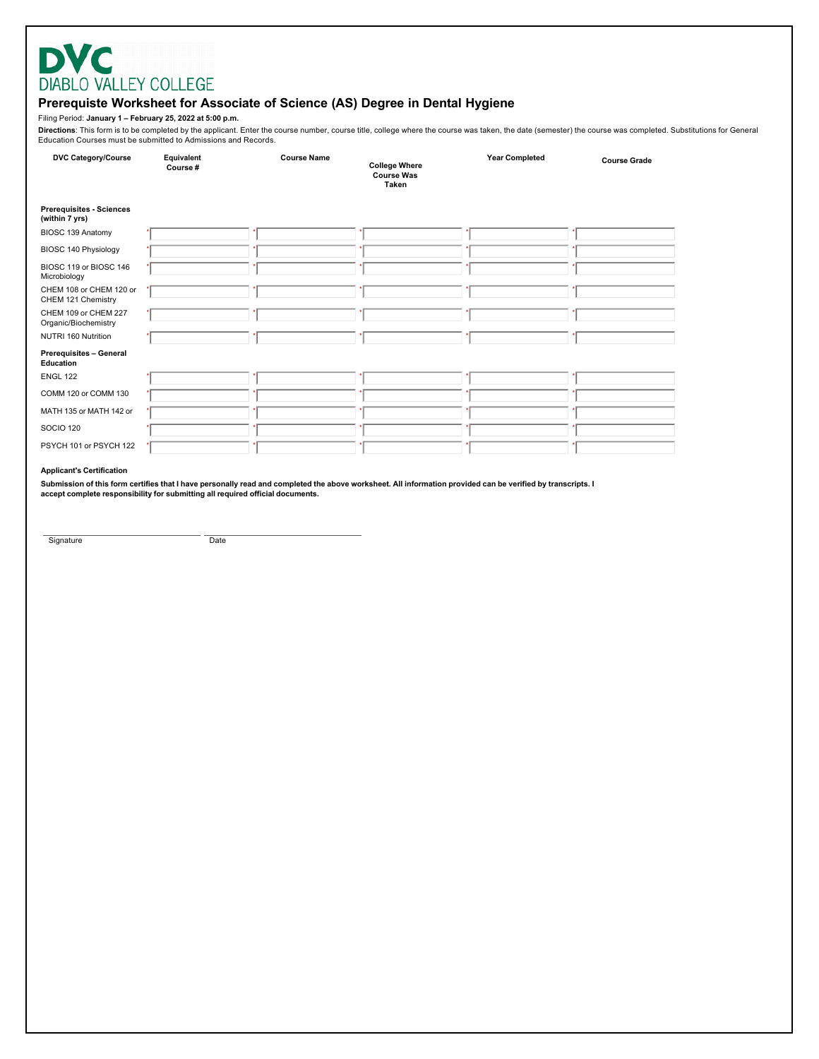# **DVC** DIABLO VALLEY COLLEGE

# Prerequiste Worksheet for Associate of Science (AS) Degree in Dental Hygiene

Filing Period: January 1 - February 25, 2022 at 5:00 p.m.

Directions: This form is to be completed by the applicant. Enter the course number, course title, college where the course was taken, the date (semester) the course was completed. Substitutions for General<br>Education Course

| <b>DVC Category/Course</b>                        | Equivalent<br>Course# | <b>Course Name</b> | <b>College Where</b><br><b>Course Was</b><br><b>Taken</b> | <b>Year Completed</b> | <b>Course Grade</b> |
|---------------------------------------------------|-----------------------|--------------------|-----------------------------------------------------------|-----------------------|---------------------|
| <b>Prerequisites - Sciences</b><br>(within 7 yrs) |                       |                    |                                                           |                       |                     |
| BIOSC 139 Anatomy                                 |                       |                    |                                                           |                       |                     |
| BIOSC 140 Physiology                              |                       |                    |                                                           |                       |                     |
| BIOSC 119 or BIOSC 146<br>Microbiology            |                       |                    |                                                           |                       |                     |
| CHEM 108 or CHEM 120 or<br>CHEM 121 Chemistry     |                       |                    |                                                           |                       |                     |
| CHEM 109 or CHEM 227<br>Organic/Biochemistry      |                       |                    |                                                           |                       |                     |
| NUTRI 160 Nutrition                               |                       |                    |                                                           |                       |                     |
| Prerequisites - General<br>Education              |                       |                    |                                                           |                       |                     |
| <b>ENGL 122</b>                                   |                       |                    |                                                           |                       |                     |
| COMM 120 or COMM 130                              |                       |                    |                                                           |                       |                     |
| MATH 135 or MATH 142 or                           |                       |                    |                                                           |                       |                     |
| <b>SOCIO 120</b>                                  |                       |                    |                                                           |                       |                     |
| PSYCH 101 or PSYCH 122                            |                       |                    |                                                           |                       |                     |

## **Applicant's Certification**

Submission of this form certifies that I have personally read and completed the above worksheet. All information provided can be verified by transcripts. I<br>accept complete responsibility for submitting all required officia

Signature

Date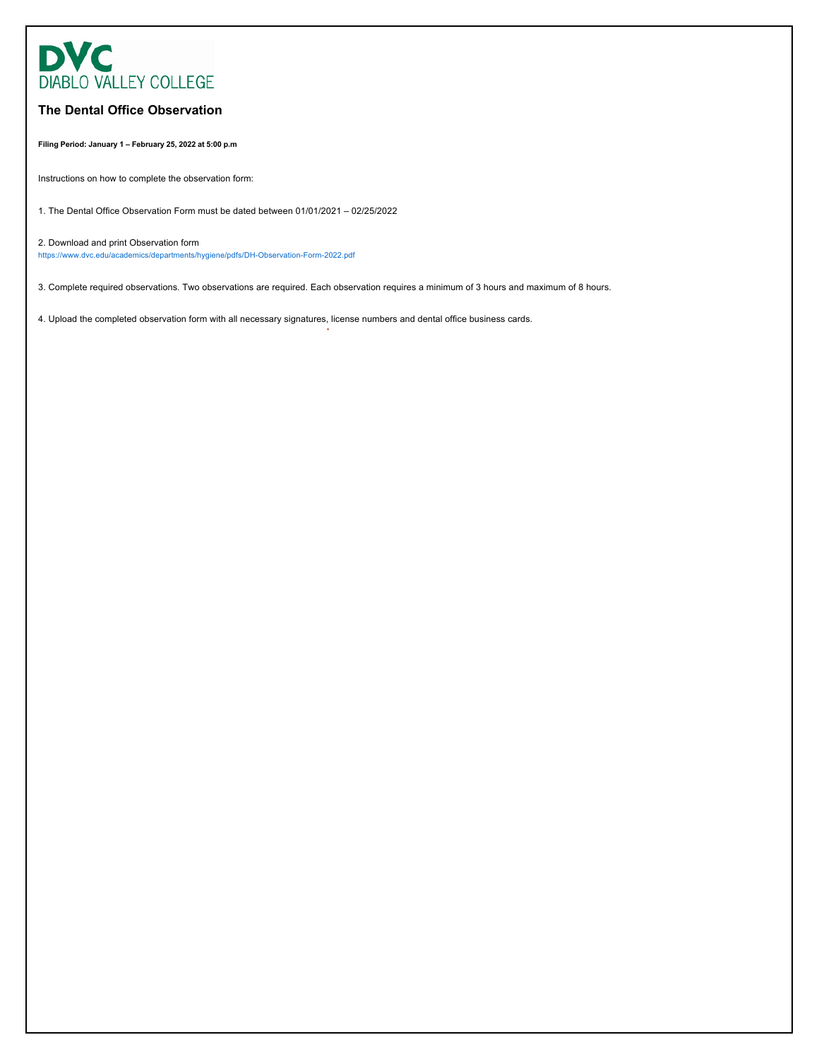

# **The Dental Office Observation**

**Filing Period: January 1 – February 25, 2022 at 5:00 p.m**

Instructions on how to complete the observation form:

1. The Dental Office Observation Form must be dated between 01/01/2021 – 02/25/2022

2. Download and print Observation form https://www.dvc.edu/academics/departments/hygiene/pdfs/DH-Observation-Form-2022.pdf

3. Complete required observations. Two observations are required. Each observation requires a minimum of 3 hours and maximum of 8 hours.

\*

4. Upload the completed observation form with all necessary signatures, license numbers and dental office business cards.